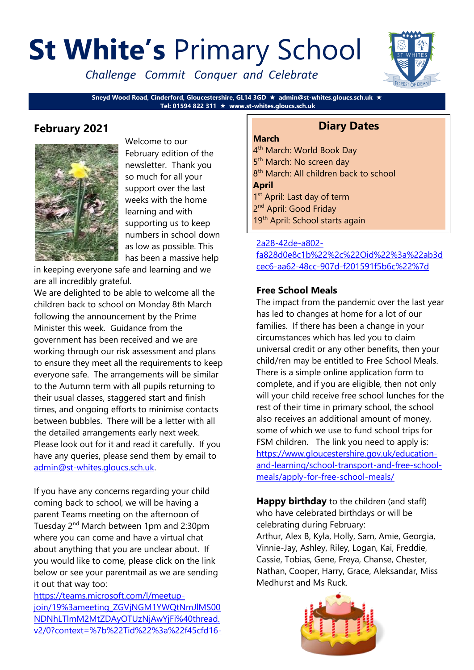# **St White's** Primary School

*Challenge Commit Conquer and Celebrate*



**Sneyd Wood Road, Cinderford, Gloucestershire, GL14 3GD admin@st-whites.gloucs.sch.uk Tel: 01594 822 311 www.st-whites.gloucs.sch.uk**

## **February 2021**



Welcome to our February edition of the newsletter. Thank you so much for all your support over the last weeks with the home learning and with supporting us to keep numbers in school down as low as possible. This has been a massive help

in keeping everyone safe and learning and we are all incredibly grateful.

We are delighted to be able to welcome all the children back to school on Monday 8th March following the announcement by the Prime Minister this week. Guidance from the government has been received and we are working through our risk assessment and plans to ensure they meet all the requirements to keep everyone safe. The arrangements will be similar to the Autumn term with all pupils returning to their usual classes, staggered start and finish times, and ongoing efforts to minimise contacts between bubbles. There will be a letter with all the detailed arrangements early next week. Please look out for it and read it carefully. If you have any queries, please send them by email to [admin@st-whites.gloucs.sch.uk.](mailto:admin@st-whites.gloucs.sch.uk)

If you have any concerns regarding your child coming back to school, we will be having a parent Teams meeting on the afternoon of Tuesday 2<sup>nd</sup> March between 1pm and 2:30pm where you can come and have a virtual chat about anything that you are unclear about. If you would like to come, please click on the link below or see your parentmail as we are sending it out that way too:

[https://teams.microsoft.com/l/meetup](https://teams.microsoft.com/l/meetup-join/19%3ameeting_ZGVjNGM1YWQtNmJlMS00NDNhLTlmM2MtZDAyOTUzNjAwYjFi%40thread.v2/0?context=%7b%22Tid%22%3a%22f45cfd16-2a28-42de-a802-fa828d0e8c1b%22%2c%22Oid%22%3a%22ab3dcec6-aa62-48cc-907d-f201591f5b6c%22%7d)[join/19%3ameeting\\_ZGVjNGM1YWQtNmJlMS00](https://teams.microsoft.com/l/meetup-join/19%3ameeting_ZGVjNGM1YWQtNmJlMS00NDNhLTlmM2MtZDAyOTUzNjAwYjFi%40thread.v2/0?context=%7b%22Tid%22%3a%22f45cfd16-2a28-42de-a802-fa828d0e8c1b%22%2c%22Oid%22%3a%22ab3dcec6-aa62-48cc-907d-f201591f5b6c%22%7d) [NDNhLTlmM2MtZDAyOTUzNjAwYjFi%40thread.](https://teams.microsoft.com/l/meetup-join/19%3ameeting_ZGVjNGM1YWQtNmJlMS00NDNhLTlmM2MtZDAyOTUzNjAwYjFi%40thread.v2/0?context=%7b%22Tid%22%3a%22f45cfd16-2a28-42de-a802-fa828d0e8c1b%22%2c%22Oid%22%3a%22ab3dcec6-aa62-48cc-907d-f201591f5b6c%22%7d) [v2/0?context=%7b%22Tid%22%3a%22f45cfd16-](https://teams.microsoft.com/l/meetup-join/19%3ameeting_ZGVjNGM1YWQtNmJlMS00NDNhLTlmM2MtZDAyOTUzNjAwYjFi%40thread.v2/0?context=%7b%22Tid%22%3a%22f45cfd16-2a28-42de-a802-fa828d0e8c1b%22%2c%22Oid%22%3a%22ab3dcec6-aa62-48cc-907d-f201591f5b6c%22%7d)

## **Diary Dates**

#### **March**

4<sup>th</sup> March: World Book Day 5<sup>th</sup> March: No screen day 8<sup>th</sup> March: All children back to school **April** 1<sup>st</sup> April: Last day of term 2<sup>nd</sup> April: Good Friday 19<sup>th</sup> April: School starts again

#### [2a28-42de-a802-](https://teams.microsoft.com/l/meetup-join/19%3ameeting_ZGVjNGM1YWQtNmJlMS00NDNhLTlmM2MtZDAyOTUzNjAwYjFi%40thread.v2/0?context=%7b%22Tid%22%3a%22f45cfd16-2a28-42de-a802-fa828d0e8c1b%22%2c%22Oid%22%3a%22ab3dcec6-aa62-48cc-907d-f201591f5b6c%22%7d)

[fa828d0e8c1b%22%2c%22Oid%22%3a%22ab3d](https://teams.microsoft.com/l/meetup-join/19%3ameeting_ZGVjNGM1YWQtNmJlMS00NDNhLTlmM2MtZDAyOTUzNjAwYjFi%40thread.v2/0?context=%7b%22Tid%22%3a%22f45cfd16-2a28-42de-a802-fa828d0e8c1b%22%2c%22Oid%22%3a%22ab3dcec6-aa62-48cc-907d-f201591f5b6c%22%7d) [cec6-aa62-48cc-907d-f201591f5b6c%22%7d](https://teams.microsoft.com/l/meetup-join/19%3ameeting_ZGVjNGM1YWQtNmJlMS00NDNhLTlmM2MtZDAyOTUzNjAwYjFi%40thread.v2/0?context=%7b%22Tid%22%3a%22f45cfd16-2a28-42de-a802-fa828d0e8c1b%22%2c%22Oid%22%3a%22ab3dcec6-aa62-48cc-907d-f201591f5b6c%22%7d)

#### **Free School Meals**

The impact from the pandemic over the last year has led to changes at home for a lot of our families. If there has been a change in your circumstances which has led you to claim universal credit or any other benefits, then your child/ren may be entitled to Free School Meals. There is a simple online application form to complete, and if you are eligible, then not only will your child receive free school lunches for the rest of their time in primary school, the school also receives an additional amount of money, some of which we use to fund school trips for FSM children. The link you need to apply is: [https://www.gloucestershire.gov.uk/education](https://www.gloucestershire.gov.uk/education-and-learning/school-transport-and-free-school-meals/apply-for-free-school-meals/)[and-learning/school-transport-and-free-school](https://www.gloucestershire.gov.uk/education-and-learning/school-transport-and-free-school-meals/apply-for-free-school-meals/)[meals/apply-for-free-school-meals/](https://www.gloucestershire.gov.uk/education-and-learning/school-transport-and-free-school-meals/apply-for-free-school-meals/)

**Happy birthday** to the children (and staff) who have celebrated birthdays or will be celebrating during February: Arthur, Alex B, Kyla, Holly, Sam, Amie, Georgia, Vinnie-Jay, Ashley, Riley, Logan, Kai, Freddie, Cassie, Tobias, Gene, Freya, Chanse, Chester, Nathan, Cooper, Harry, Grace, Aleksandar, Miss Medhurst and Ms Ruck.

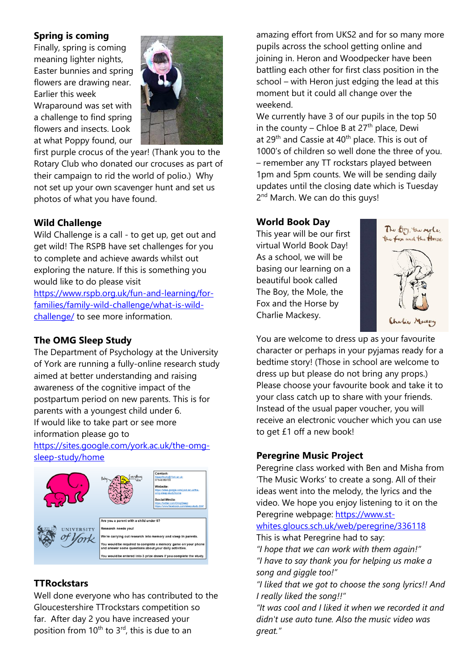#### **Spring is coming**

Finally, spring is coming meaning lighter nights, Easter bunnies and spring flowers are drawing near. Earlier this week Wraparound was set with a challenge to find spring flowers and insects. Look at what Poppy found, our



first purple crocus of the year! (Thank you to the Rotary Club who donated our crocuses as part of their campaign to rid the world of polio.) Why not set up your own scavenger hunt and set us photos of what you have found.

#### **Wild Challenge**

Wild Challenge is a call - to get up, get out and get wild! The RSPB have set challenges for you to complete and achieve awards whilst out exploring the nature. If this is something you would like to do please visit [https://www.rspb.org.uk/fun-and-learning/for](https://www.rspb.org.uk/fun-and-learning/for-families/family-wild-challenge/what-is-wild-challenge/)[families/family-wild-challenge/what-is-wild-](https://www.rspb.org.uk/fun-and-learning/for-families/family-wild-challenge/what-is-wild-challenge/)

[challenge/](https://www.rspb.org.uk/fun-and-learning/for-families/family-wild-challenge/what-is-wild-challenge/) to see more information.

## **The OMG Sleep Study**

The Department of Psychology at the University of York are running a fully-online research study aimed at better understanding and raising awareness of the cognitive impact of the postpartum period on new parents. This is for parents with a youngest child under 6. If would like to take part or see more information please go to

[https://sites.google.com/york.ac.uk/the-omg](https://sites.google.com/york.ac.uk/the-omg-sleep-study/home)[sleep-study/home](https://sites.google.com/york.ac.uk/the-omg-sleep-study/home)



#### **TTRockstars**

Well done everyone who has contributed to the Gloucestershire TTrockstars competition so far. After day 2 you have increased your position from 10<sup>th</sup> to 3<sup>rd</sup>, this is due to an

amazing effort from UKS2 and for so many more pupils across the school getting online and joining in. Heron and Woodpecker have been battling each other for first class position in the school – with Heron just edging the lead at this moment but it could all change over the weekend.

We currently have 3 of our pupils in the top 50 in the county – Chloe B at  $27<sup>th</sup>$  place, Dewi at 29<sup>th</sup> and Cassie at 40<sup>th</sup> place. This is out of 1000's of children so well done the three of you. – remember any TT rockstars played between 1pm and 5pm counts. We will be sending daily updates until the closing date which is Tuesday 2<sup>nd</sup> March. We can do this guys!

#### **World Book Day**

This year will be our first virtual World Book Day! As a school, we will be basing our learning on a beautiful book called The Boy, the Mole, the Fox and the Horse by Charlie Mackesy.



You are welcome to dress up as your favourite character or perhaps in your pyjamas ready for a bedtime story! (Those in school are welcome to dress up but please do not bring any props.) Please choose your favourite book and take it to your class catch up to share with your friends. Instead of the usual paper voucher, you will receive an electronic voucher which you can use to get £1 off a new book!

## **Peregrine Music Project**

Peregrine class worked with Ben and Misha from 'The Music Works' to create a song. All of their ideas went into the melody, the lyrics and the video. We hope you enjoy listening to it on the Peregrine webpage: [https://www.st-](https://www.st-whites.gloucs.sch.uk/web/peregrine/336118)

[whites.gloucs.sch.uk/web/peregrine/336118](https://www.st-whites.gloucs.sch.uk/web/peregrine/336118) This is what Peregrine had to say:

*"I hope that we can work with them again!" "I have to say thank you for helping us make a song and giggle too!"*

*"I liked that we got to choose the song lyrics!! And I really liked the song!!"*

*"It was cool and I liked it when we recorded it and didn't use auto tune. Also the music video was great."*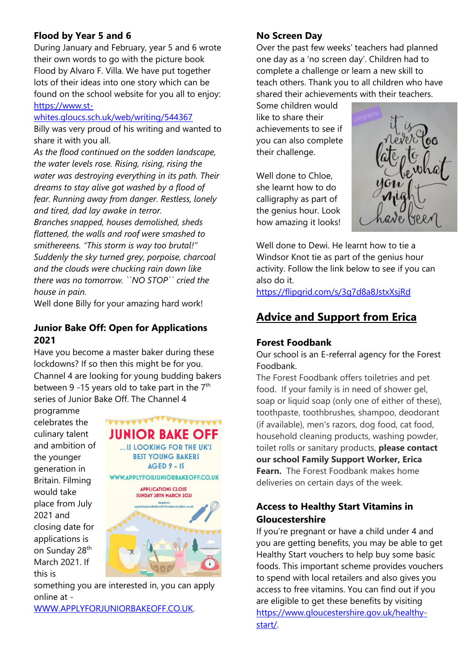## **Flood by Year 5 and 6**

During January and February, year 5 and 6 wrote their own words to go with the picture book Flood by Alvaro F. Villa. We have put together lots of their ideas into one story which can be found on the school website for you all to enjoy: [https://www.st-](https://www.st-whites.gloucs.sch.uk/web/writing/544367)

#### [whites.gloucs.sch.uk/web/writing/544367](https://www.st-whites.gloucs.sch.uk/web/writing/544367)

Billy was very proud of his writing and wanted to share it with you all.

*As the flood continued on the sodden landscape, the water levels rose. Rising, rising, rising the water was destroying everything in its path. Their dreams to stay alive got washed by a flood of fear. Running away from danger. Restless, lonely and tired, dad lay awake in terror.* 

*Branches snapped, houses demolished, sheds flattened, the walls and roof were smashed to smithereens. "This storm is way too brutal!" Suddenly the sky turned grey, porpoise, charcoal and the clouds were chucking rain down like there was no tomorrow. ``NO STOP`` cried the house in pain.*

Well done Billy for your amazing hard work!

#### **Junior Bake Off: Open for Applications 2021**

Have you become a master baker during these lockdowns? If so then this might be for you. Channel 4 are looking for young budding bakers between 9 -15 years old to take part in the  $7<sup>th</sup>$ series of Junior Bake Off. The Channel 4

programme celebrates the culinary talent and ambition of the younger generation in Britain. Filming would take place from July 2021 and closing date for applications is on Sunday 28<sup>th</sup> March 2021. If this is



something you are interested in, you can apply online at -

[WWW.APPLYFORJUNIORBAKEOFF.CO.UK.](http://www.applyforjuniorbakeoff.co.uk/)

## **No Screen Day**

Over the past few weeks' teachers had planned one day as a 'no screen day'. Children had to complete a challenge or learn a new skill to teach others. Thank you to all children who have shared their achievements with their teachers.

Some children would like to share their achievements to see if you can also complete their challenge.

Well done to Chloe, she learnt how to do calligraphy as part of the genius hour. Look how amazing it looks!



Well done to Dewi. He learnt how to tie a Windsor Knot tie as part of the genius hour activity. Follow the link below to see if you can also do it.

<https://flipgrid.com/s/3g7d8a8JstxXsjRd>

## **Advice and Support from Erica**

#### **Forest Foodbank**

Our school is an E-referral agency for the Forest Foodbank.

The Forest Foodbank offers toiletries and pet food. If your family is in need of shower gel, soap or liquid soap (only one of either of these), toothpaste, toothbrushes, shampoo, deodorant (if available), men's razors, dog food, cat food, household cleaning products, washing powder, toilet rolls or sanitary products, **please contact our school Family Support Worker, Erica Fearn.** The Forest Foodbank makes home deliveries on certain days of the week.

## **Access to Healthy Start Vitamins in Gloucestershire**

If you're pregnant or have a child under 4 and you are getting benefits, you may be able to get Healthy Start vouchers to help buy some basic foods. This important scheme provides vouchers to spend with local retailers and also gives you access to free vitamins. You can find out if you are eligible to get these benefits by visiting [https://www.gloucestershire.gov.uk/healthy](https://www.gloucestershire.gov.uk/healthy-start/)[start/.](https://www.gloucestershire.gov.uk/healthy-start/)